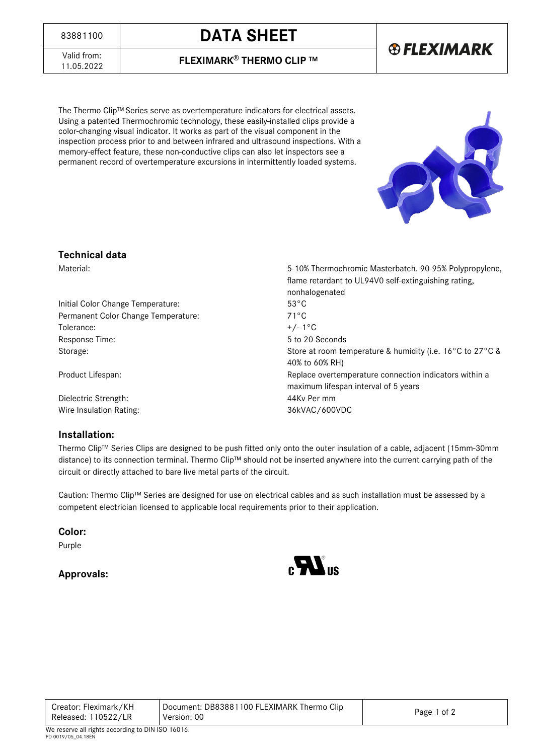# <sup>83881100</sup> **DATA SHEET**

**® FLEXIMARK** 

Valid from:<br>11.05.2022

11.05.2022 **FLEXIMARK**® **THERMO CLIP ™**

The Thermo Clip™ Series serve as overtemperature indicators for electrical assets. Using a patented Thermochromic technology, these easily-installed clips provide a color-changing visual indicator. It works as part of the visual component in the inspection process prior to and between infrared and ultrasound inspections. With a memory-effect feature, these non-conductive clips can also let inspectors see a permanent record of overtemperature excursions in intermittently loaded systems.



flame retardant to UL94V0 self-extinguishing rating,

### **Technical data**

Material: 5-10% Thermochromic Masterbatch. 90-95% Polypropylene,

Initial Color Change Temperature: 53°C Permanent Color Change Temperature: 71°C Tolerance:  $+/- 1^{\circ}$ C Response Time: 5 to 20 Seconds Storage: Store at room temperature & humidity (i.e. 16°C to 27°C &

Product Lifespan: Replace overtemperature connection indicators within a

Dielectric Strength: 44Kv Per mm Wire Insulation Rating: 36kVAC/600VDC

### **Installation:**

Thermo Clip™ Series Clips are designed to be push fitted only onto the outer insulation of a cable, adjacent (15mm-30mm distance) to its connection terminal. Thermo Clip™ should not be inserted anywhere into the current carrying path of the circuit or directly attached to bare live metal parts of the circuit.

Caution: Thermo Clip™ Series are designed for use on electrical cables and as such installation must be assessed by a competent electrician licensed to applicable local requirements prior to their application.

**Color:**

Purple

## **Approvals:**



nonhalogenated

40% to 60% RH)

maximum lifespan interval of 5 years

| Creator: Fleximark/KH<br>Released: 110522/LR | Document: DB83881100 FLEXIMARK Thermo Clip<br>Version: 00 | Page 1 of 2 |
|----------------------------------------------|-----------------------------------------------------------|-------------|
|                                              |                                                           |             |